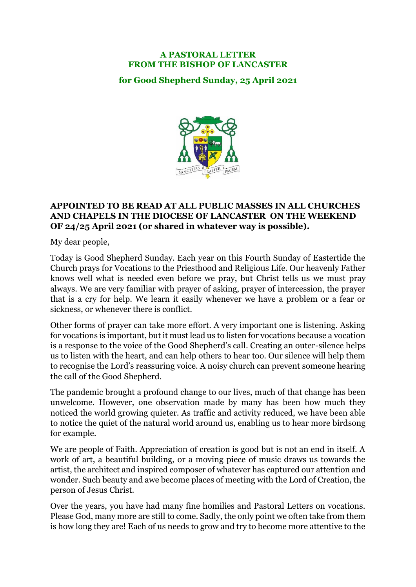## **A PASTORAL LETTER FROM THE BISHOP OF LANCASTER**

**for Good Shepherd Sunday, 25 April 2021**



## **APPOINTED TO BE READ AT ALL PUBLIC MASSES IN ALL CHURCHES AND CHAPELS IN THE DIOCESE OF LANCASTER ON THE WEEKEND OF 24/25 April 2021 (or shared in whatever way is possible).**

My dear people,

Today is Good Shepherd Sunday. Each year on this Fourth Sunday of Eastertide the Church prays for Vocations to the Priesthood and Religious Life. Our heavenly Father knows well what is needed even before we pray, but Christ tells us we must pray always. We are very familiar with prayer of asking, prayer of intercession, the prayer that is a cry for help. We learn it easily whenever we have a problem or a fear or sickness, or whenever there is conflict.

Other forms of prayer can take more effort. A very important one is listening. Asking for vocations is important, but it must lead us to listen for vocations because a vocation is a response to the voice of the Good Shepherd's call. Creating an outer-silence helps us to listen with the heart, and can help others to hear too. Our silence will help them to recognise the Lord's reassuring voice. A noisy church can prevent someone hearing the call of the Good Shepherd.

The pandemic brought a profound change to our lives, much of that change has been unwelcome. However, one observation made by many has been how much they noticed the world growing quieter. As traffic and activity reduced, we have been able to notice the quiet of the natural world around us, enabling us to hear more birdsong for example.

We are people of Faith. Appreciation of creation is good but is not an end in itself. A work of art, a beautiful building, or a moving piece of music draws us towards the artist, the architect and inspired composer of whatever has captured our attention and wonder. Such beauty and awe become places of meeting with the Lord of Creation, the person of Jesus Christ.

Over the years, you have had many fine homilies and Pastoral Letters on vocations. Please God, many more are still to come. Sadly, the only point we often take from them is how long they are! Each of us needs to grow and try to become more attentive to the